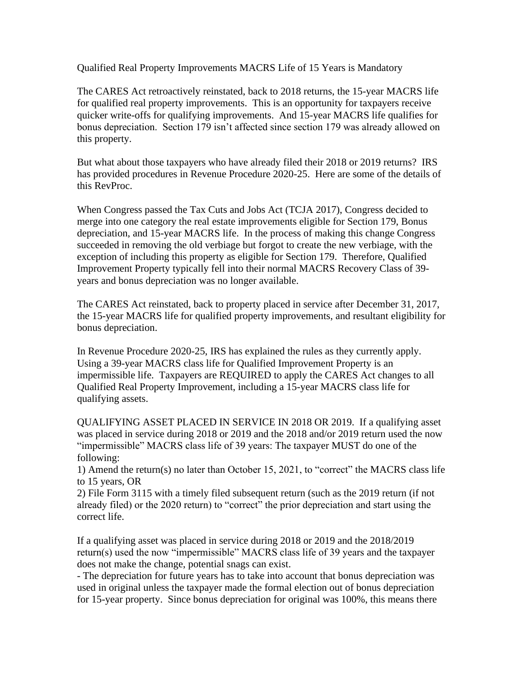Qualified Real Property Improvements MACRS Life of 15 Years is Mandatory

The CARES Act retroactively reinstated, back to 2018 returns, the 15-year MACRS life for qualified real property improvements. This is an opportunity for taxpayers receive quicker write-offs for qualifying improvements. And 15-year MACRS life qualifies for bonus depreciation. Section 179 isn't affected since section 179 was already allowed on this property.

But what about those taxpayers who have already filed their 2018 or 2019 returns? IRS has provided procedures in Revenue Procedure 2020-25. Here are some of the details of this RevProc.

When Congress passed the Tax Cuts and Jobs Act (TCJA 2017), Congress decided to merge into one category the real estate improvements eligible for Section 179, Bonus depreciation, and 15-year MACRS life. In the process of making this change Congress succeeded in removing the old verbiage but forgot to create the new verbiage, with the exception of including this property as eligible for Section 179. Therefore, Qualified Improvement Property typically fell into their normal MACRS Recovery Class of 39 years and bonus depreciation was no longer available.

The CARES Act reinstated, back to property placed in service after December 31, 2017, the 15-year MACRS life for qualified property improvements, and resultant eligibility for bonus depreciation.

In Revenue Procedure 2020-25, IRS has explained the rules as they currently apply. Using a 39-year MACRS class life for Qualified Improvement Property is an impermissible life. Taxpayers are REQUIRED to apply the CARES Act changes to all Qualified Real Property Improvement, including a 15-year MACRS class life for qualifying assets.

QUALIFYING ASSET PLACED IN SERVICE IN 2018 OR 2019. If a qualifying asset was placed in service during 2018 or 2019 and the 2018 and/or 2019 return used the now "impermissible" MACRS class life of 39 years: The taxpayer MUST do one of the following:

1) Amend the return(s) no later than October 15, 2021, to "correct" the MACRS class life to 15 years, OR

2) File Form 3115 with a timely filed subsequent return (such as the 2019 return (if not already filed) or the 2020 return) to "correct" the prior depreciation and start using the correct life.

If a qualifying asset was placed in service during 2018 or 2019 and the 2018/2019 return(s) used the now "impermissible" MACRS class life of 39 years and the taxpayer does not make the change, potential snags can exist.

- The depreciation for future years has to take into account that bonus depreciation was used in original unless the taxpayer made the formal election out of bonus depreciation for 15-year property. Since bonus depreciation for original was 100%, this means there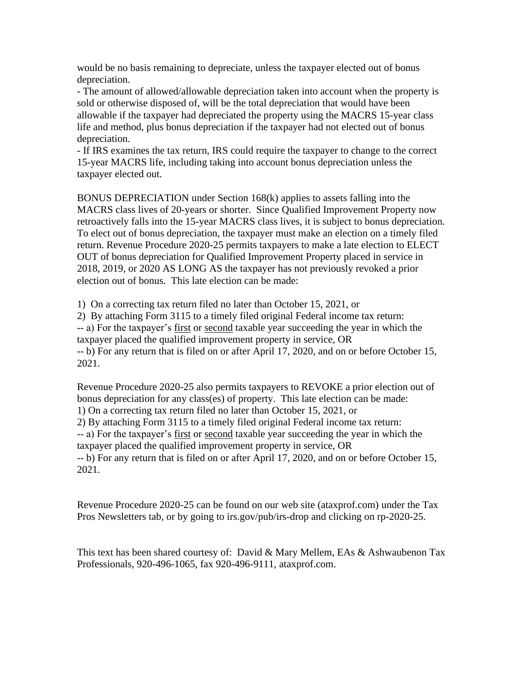would be no basis remaining to depreciate, unless the taxpayer elected out of bonus depreciation.

- The amount of allowed/allowable depreciation taken into account when the property is sold or otherwise disposed of, will be the total depreciation that would have been allowable if the taxpayer had depreciated the property using the MACRS 15-year class life and method, plus bonus depreciation if the taxpayer had not elected out of bonus depreciation.

- If IRS examines the tax return, IRS could require the taxpayer to change to the correct 15-year MACRS life, including taking into account bonus depreciation unless the taxpayer elected out.

BONUS DEPRECIATION under Section 168(k) applies to assets falling into the MACRS class lives of 20-years or shorter. Since Qualified Improvement Property now retroactively falls into the 15-year MACRS class lives, it is subject to bonus depreciation. To elect out of bonus depreciation, the taxpayer must make an election on a timely filed return. Revenue Procedure 2020-25 permits taxpayers to make a late election to ELECT OUT of bonus depreciation for Qualified Improvement Property placed in service in 2018, 2019, or 2020 AS LONG AS the taxpayer has not previously revoked a prior election out of bonus. This late election can be made:

1) On a correcting tax return filed no later than October 15, 2021, or

2) By attaching Form 3115 to a timely filed original Federal income tax return: -- a) For the taxpayer's first or second taxable year succeeding the year in which the taxpayer placed the qualified improvement property in service, OR -- b) For any return that is filed on or after April 17, 2020, and on or before October 15, 2021.

Revenue Procedure 2020-25 also permits taxpayers to REVOKE a prior election out of bonus depreciation for any class(es) of property. This late election can be made: 1) On a correcting tax return filed no later than October 15, 2021, or 2) By attaching Form 3115 to a timely filed original Federal income tax return: -- a) For the taxpayer's first or second taxable year succeeding the year in which the taxpayer placed the qualified improvement property in service, OR -- b) For any return that is filed on or after April 17, 2020, and on or before October 15, 2021.

Revenue Procedure 2020-25 can be found on our web site (ataxprof.com) under the Tax Pros Newsletters tab, or by going to irs.gov/pub/irs-drop and clicking on rp-2020-25.

This text has been shared courtesy of: David & Mary Mellem, EAs & Ashwaubenon Tax Professionals, 920-496-1065, fax 920-496-9111, ataxprof.com.